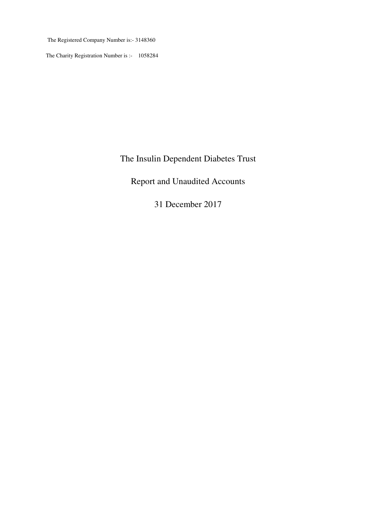The Registered Company Number is:- 3148360

The Charity Registration Number is :- 1058284

# The Insulin Dependent Diabetes Trust

# Report and Unaudited Accounts

31 December 2017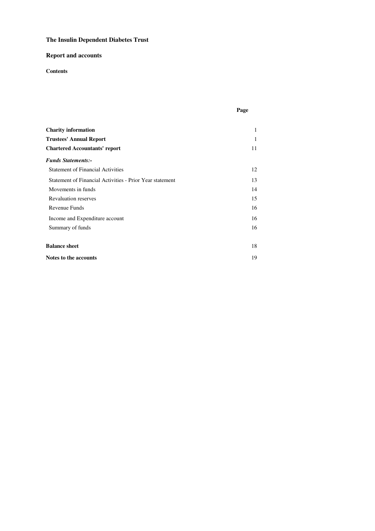### **Report and accounts**

### **Contents**

|--|

| <b>Charity information</b>                               | 1  |
|----------------------------------------------------------|----|
| <b>Trustees' Annual Report</b>                           | 1  |
| <b>Chartered Accountants' report</b>                     | 11 |
| <b>Funds Statements:-</b>                                |    |
| <b>Statement of Financial Activities</b>                 | 12 |
| Statement of Financial Activities - Prior Year statement | 13 |
| Movements in funds                                       | 14 |
| <b>Revaluation reserves</b>                              | 15 |
| Revenue Funds                                            | 16 |
| Income and Expenditure account                           | 16 |
| Summary of funds                                         | 16 |
| <b>Balance sheet</b>                                     | 18 |
| Notes to the accounts                                    | 19 |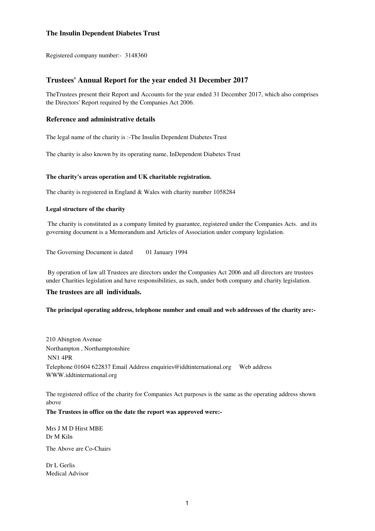Registered company number:- 3148360

### **Trustees' Annual Report for the year ended 31 December 2017**

TheTrustees present their Report and Accounts for the year ended 31 December 2017, which also comprises the Directors' Report required by the Companies Act 2006.

#### **Reference and administrative details**

The legal name of the charity is :-The Insulin Dependent Diabetes Trust

The charity is also known by its operating name, InDependent Diabetes Trust

#### **The charity's areas operation and UK charitable registration.**

The charity is registered in England & Wales with charity number 1058284

#### **Legal structure of the charity**

 The charity is constituted as a company limited by guarantee, registered under the Companies Acts. and its governing document is a Memorandum and Articles of Association under company legislation.

The Governing Document is dated 01 January 1994

 By operation of law all Trustees are directors under the Companies Act 2006 and all directors are trustees under Charities legislation and have responsibilities, as such, under both company and charity legislation.

#### **The trustees are all individuals.**

#### **The principal operating address, telephone number and email and web addresses of the charity are:-**

Northampton , Northamptonshire 210 Abington Avenue NN1 4PR Telephone 01604 622837 Email Address enquiries@iddtinternational.org Web address WWW.iddtinternational.org

The registered office of the charity for Companies Act purposes is the same as the operating address shown above

#### **The Trustees in office on the date the report was approved were:-**

Mrs J M D Hirst MBE Dr M Kiln

The Above are Co-Chairs

Dr L Gerlis Medical Advisor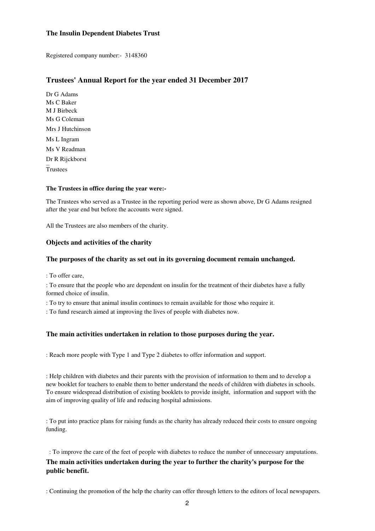Registered company number:- 3148360

### **Trustees' Annual Report for the year ended 31 December 2017**

Ms G Coleman Mrs J Hutchinson Ms L Ingram Ms V Readman Dr R Rijckborst **Trustees** Ms C Baker Dr G Adams M J Birbeck

#### **The Trustees in office during the year were:-**

The Trustees who served as a Trustee in the reporting period were as shown above, Dr G Adams resigned after the year end but before the accounts were signed.

All the Trustees are also members of the charity.

### **Objects and activities of the charity**

### **The purposes of the charity as set out in its governing document remain unchanged.**

: To offer care,

: To ensure that the people who are dependent on insulin for the treatment of their diabetes have a fully formed choice of insulin.

: To try to ensure that animal insulin continues to remain available for those who require it.

: To fund research aimed at improving the lives of people with diabetes now.

### **The main activities undertaken in relation to those purposes during the year.**

: Reach more people with Type 1 and Type 2 diabetes to offer information and support.

: Help children with diabetes and their parents with the provision of information to them and to develop a new booklet for teachers to enable them to better understand the needs of children with diabetes in schools. To ensure widespread distribution of existing booklets to provide insight, information and support with the aim of improving quality of life and reducing hospital admissions.

: To put into practice plans for raising funds as the charity has already reduced their costs to ensure ongoing funding.

: To improve the care of the feet of people with diabetes to reduce the number of unnecessary amputations.

### **The main activities undertaken during the year to further the charity's purpose for the public benefit.**

: Continuing the promotion of the help the charity can offer through letters to the editors of local newspapers.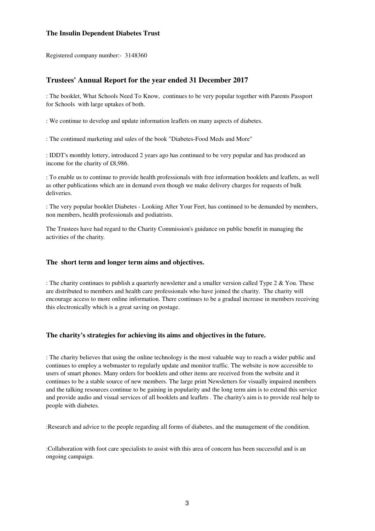Registered company number:- 3148360

### **Trustees' Annual Report for the year ended 31 December 2017**

: The booklet, What Schools Need To Know, continues to be very popular together with Parents Passport for Schools with large uptakes of both.

: We continue to develop and update information leaflets on many aspects of diabetes.

: The continued marketing and sales of the book "Diabetes-Food Meds and More"

: IDDT's monthly lottery, introduced 2 years ago has continued to be very popular and has produced an income for the charity of £8,986.

: To enable us to continue to provide health professionals with free information booklets and leaflets, as well as other publications which are in demand even though we make delivery charges for requests of bulk deliveries.

: The very popular booklet Diabetes - Looking After Your Feet, has continued to be demanded by members, non members, health professionals and podiatrists.

The Trustees have had regard to the Charity Commission's guidance on public benefit in managing the activities of the charity.

#### **The short term and longer term aims and objectives.**

: The charity continues to publish a quarterly newsletter and a smaller version called Type 2 & You. These are distributed to members and health care professionals who have joined the charity. The charity will encourage access to more online information. There continues to be a gradual increase in members receiving this electronically which is a great saving on postage.

### **The charity's strategies for achieving its aims and objectives in the future.**

: The charity believes that using the online technology is the most valuable way to reach a wider public and continues to employ a webmaster to regularly update and monitor traffic. The website is now accessible to users of smart phones. Many orders for booklets and other items are received from the website and it continues to be a stable source of new members. The large print Newsletters for visually impaired members and the talking resources continue to be gaining in popularity and the long term aim is to extend this service and provide audio and visual services of all booklets and leaflets . The charity's aim is to provide real help to people with diabetes.

:Research and advice to the people regarding all forms of diabetes, and the management of the condition.

:Collaboration with foot care specialists to assist with this area of concern has been successful and is an ongoing campaign.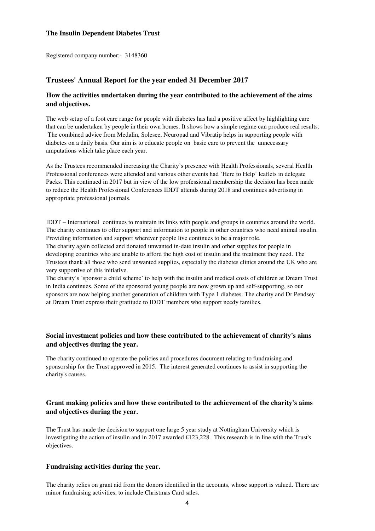Registered company number:- 3148360

### **Trustees' Annual Report for the year ended 31 December 2017**

### **How the activities undertaken during the year contributed to the achievement of the aims and objectives.**

The web setup of a foot care range for people with diabetes has had a positive affect by highlighting care that can be undertaken by people in their own homes. It shows how a simple regime can produce real results. The combined advice from Medalin, Solesee, Neuropad and Vibratip helps in supporting people with diabetes on a daily basis. Our aim is to educate people on basic care to prevent the unnecessary amputations which take place each year.

As the Trustees recommended increasing the Charity's presence with Health Professionals, several Health Professional conferences were attended and various other events had 'Here to Help' leaflets in delegate Packs. This continued in 2017 but in view of the low professional membership the decision has been made to reduce the Health Professional Conferences IDDT attends during 2018 and continues advertising in appropriate professional journals.

IDDT – International continues to maintain its links with people and groups in countries around the world. The charity continues to offer support and information to people in other countries who need animal insulin. Providing information and support wherever people live continues to be a major role.

The charity again collected and donated unwanted in-date insulin and other supplies for people in developing countries who are unable to afford the high cost of insulin and the treatment they need. The Trustees thank all those who send unwanted supplies, especially the diabetes clinics around the UK who are very supportive of this initiative.

The charity's 'sponsor a child scheme' to help with the insulin and medical costs of children at Dream Trust in India continues. Some of the sponsored young people are now grown up and self-supporting, so our sponsors are now helping another generation of children with Type 1 diabetes. The charity and Dr Pendsey at Dream Trust express their gratitude to IDDT members who support needy families.

### **Social investment policies and how these contributed to the achievement of charity's aims and objectives during the year.**

The charity continued to operate the policies and procedures document relating to fundraising and sponsorship for the Trust approved in 2015. The interest generated continues to assist in supporting the charity's causes.

### **Grant making policies and how these contributed to the achievement of the charity's aims and objectives during the year.**

The Trust has made the decision to support one large 5 year study at Nottingham University which is investigating the action of insulin and in 2017 awarded £123,228. This research is in line with the Trust's objectives.

#### **Fundraising activities during the year.**

The charity relies on grant aid from the donors identified in the accounts, whose support is valued. There are minor fundraising activities, to include Christmas Card sales.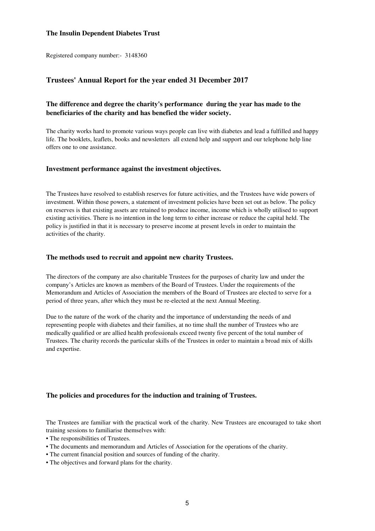Registered company number:- 3148360

### **Trustees' Annual Report for the year ended 31 December 2017**

### **The difference and degree the charity's performance during the year has made to the beneficiaries of the charity and has benefied the wider society.**

The charity works hard to promote various ways people can live with diabetes and lead a fulfilled and happy life. The booklets, leaflets, books and newsletters all extend help and support and our telephone help line offers one to one assistance.

### **Investment performance against the investment objectives.**

The Trustees have resolved to establish reserves for future activities, and the Trustees have wide powers of investment. Within those powers, a statement of investment policies have been set out as below. The policy on reserves is that existing assets are retained to produce income, income which is wholly utilised to support existing activities. There is no intention in the long term to either increase or reduce the capital held. The policy is justified in that it is necessary to preserve income at present levels in order to maintain the activities of the charity.

#### **The methods used to recruit and appoint new charity Trustees.**

The directors of the company are also charitable Trustees for the purposes of charity law and under the company's Articles are known as members of the Board of Trustees. Under the requirements of the Memorandum and Articles of Association the members of the Board of Trustees are elected to serve for a period of three years, after which they must be re-elected at the next Annual Meeting.

Due to the nature of the work of the charity and the importance of understanding the needs of and representing people with diabetes and their families, at no time shall the number of Trustees who are medically qualified or are allied health professionals exceed twenty five percent of the total number of Trustees. The charity records the particular skills of the Trustees in order to maintain a broad mix of skills and expertise.

#### **The policies and procedures for the induction and training of Trustees.**

The Trustees are familiar with the practical work of the charity. New Trustees are encouraged to take short training sessions to familiarise themselves with:

- The responsibilities of Trustees.
- The documents and memorandum and Articles of Association for the operations of the charity.
- The current financial position and sources of funding of the charity.
- The objectives and forward plans for the charity.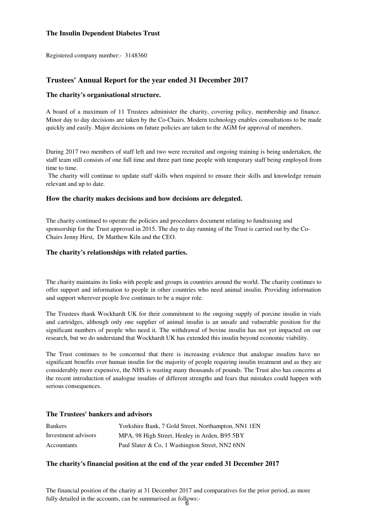Registered company number:- 3148360

### **Trustees' Annual Report for the year ended 31 December 2017**

#### **The charity's organisational structure.**

A board of a maximum of 11 Trustees administer the charity, covering policy, membership and finance. Minor day to day decisions are taken by the Co-Chairs. Modern technology enables consultations to be made quickly and easily. Major decisions on future policies are taken to the AGM for approval of members.

During 2017 two members of staff left and two were recruited and ongoing training is being undertaken, the staff team still consists of one full time and three part time people with temporary staff being employed from time to time.

The charity will continue to update staff skills when required to ensure their skills and knowledge remain relevant and up to date.

#### **How the charity makes decisions and how decisions are delegated.**

The charity continued to operate the policies and procedures document relating to fundraising and sponsorship for the Trust approved in 2015. The day to day running of the Trust is carried out by the Co-Chairs Jenny Hirst, Dr Matthew Kiln and the CEO.

#### **The charity's relationships with related parties.**

The charity maintains its links with people and groups in countries around the world. The charity continues to offer support and information to people in other countries who need animal insulin. Providing information and support wherever people live continues to be a major role.

The Trustees thank Wockhardt UK for their commitment to the ongoing supply of porcine insulin in vials and cartridges, although only one supplier of animal insulin is an unsafe and vulnerable position for the significant numbers of people who need it. The withdrawal of bovine insulin has not yet impacted on our research, but we do understand that Wockhardt UK has extended this insulin beyond economic viability.

The Trust continues to be concerned that there is increasing evidence that analogue insulins have no significant benefits over human insulin for the majority of people requiring insulin treatment and as they are considerably more expensive, the NHS is wasting many thousands of pounds. The Trust also has concerns at the recent introduction of analogue insulins of different strengths and fears that mistakes could happen with serious consequences.

#### **The Trustees' bankers and advisors**

| <b>Bankers</b>      | Yorkshire Bank, 7 Gold Street, Northampton, NN1 1EN |
|---------------------|-----------------------------------------------------|
| Investment advisors | MPA, 98 High Street, Henley in Arden, B95 5BY       |
| Accountants         | Paul Slater & Co, 1 Washington Street, NN2 6NN      |

#### **The charity's financial position at the end of the year ended 31 December 2017**

The financial position of the charity at 31 December 2017 and comparatives for the prior period, as more fully detailed in the accounts, can be summarised as follows:- 6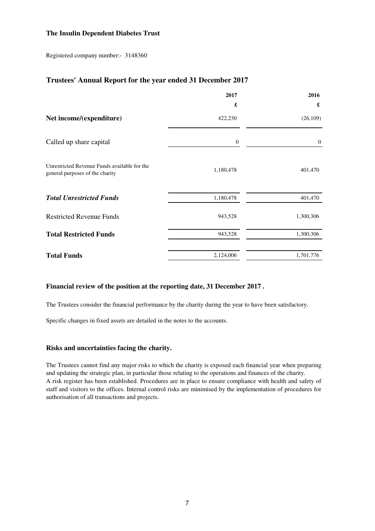Registered company number:- 3148360

### **Trustees' Annual Report for the year ended 31 December 2017**

|                                                                                 | 2017             | 2016      |
|---------------------------------------------------------------------------------|------------------|-----------|
|                                                                                 | £                | £         |
| Net income/(expenditure)                                                        | 422,230          | (26, 109) |
| Called up share capital                                                         | $\boldsymbol{0}$ | $\theta$  |
| Unrestricted Revenue Funds available for the<br>general purposes of the charity | 1,180,478        | 401,470   |
| <b>Total Unrestricted Funds</b>                                                 | 1,180,478        | 401,470   |
| <b>Restricted Revenue Funds</b>                                                 | 943,528          | 1,300,306 |
| <b>Total Restricted Funds</b>                                                   | 943,528          | 1,300,306 |
| <b>Total Funds</b>                                                              | 2,124,006        | 1,701,776 |

### **Financial review of the position at the reporting date, 31 December 2017 .**

The Trustees consider the financial performance by the charity during the year to have been satisfactory.

Specific changes in fixed assets are detailed in the notes to the accounts.

### **Risks and uncertainties facing the charity.**

The Trustees cannot find any major risks to which the charity is exposed each financial year when preparing and updating the strategic plan, in particular those relating to the operations and finances of the charity. A risk register has been established. Procedures are in place to ensure compliance with health and safety of staff and visitors to the offices. Internal control risks are minimised by the implementation of procedures for authorisation of all transactions and projects.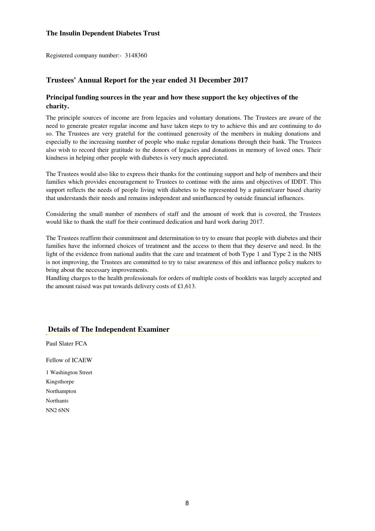Registered company number:- 3148360

### **Trustees' Annual Report for the year ended 31 December 2017**

### **Principal funding sources in the year and how these support the key objectives of the charity.**

The principle sources of income are from legacies and voluntary donations. The Trustees are aware of the need to generate greater regular income and have taken steps to try to achieve this and are continuing to do so. The Trustees are very grateful for the continued generosity of the members in making donations and especially to the increasing number of people who make regular donations through their bank. The Trustees also wish to record their gratitude to the donors of legacies and donations in memory of loved ones. Their kindness in helping other people with diabetes is very much appreciated.

The Trustees would also like to express their thanks for the continuing support and help of members and their families which provides encouragement to Trustees to continue with the aims and objectives of IDDT. This support reflects the needs of people living with diabetes to be represented by a patient/carer based charity that understands their needs and remains independent and uninfluenced by outside financial influences.

Considering the small number of members of staff and the amount of work that is covered, the Trustees would like to thank the staff for their continued dedication and hard work during 2017.

The Trustees reaffirm their commitment and determination to try to ensure that people with diabetes and their families have the informed choices of treatment and the access to them that they deserve and need. In the light of the evidence from national audits that the care and treatment of both Type 1 and Type 2 in the NHS is not improving, the Trustees are committed to try to raise awareness of this and influence policy makers to bring about the necessary improvements.

Handling charges to the health professionals for orders of multiple costs of booklets was largely accepted and the amount raised was put towards delivery costs of £1,613.

### **Details of The Independent Examiner**

Paul Slater FCA

1 Washington Street Northants NN2 6NN Northampton Kingsthorpe Fellow of ICAEW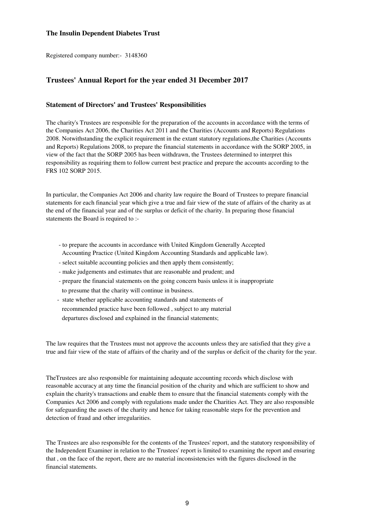Registered company number:- 3148360

### **Trustees' Annual Report for the year ended 31 December 2017**

### **Statement of Directors' and Trustees' Responsibilities**

The charity's Trustees are responsible for the preparation of the accounts in accordance with the terms of the Companies Act 2006, the Charities Act 2011 and the Charities (Accounts and Reports) Regulations 2008. Notwithstanding the explicit requirement in the extant statutory regulations,the Charities (Accounts and Reports) Regulations 2008, to prepare the financial statements in accordance with the SORP 2005, in view of the fact that the SORP 2005 has been withdrawn, the Trustees determined to interpret this responsibility as requiring them to follow current best practice and prepare the accounts according to the FRS 102 SORP 2015.

In particular, the Companies Act 2006 and charity law require the Board of Trustees to prepare financial statements for each financial year which give a true and fair view of the state of affairs of the charity as at the end of the financial year and of the surplus or deficit of the charity. In preparing those financial statements the Board is required to :-

- to prepare the accounts in accordance with United Kingdom Generally Accepted Accounting Practice (United Kingdom Accounting Standards and applicable law).
- select suitable accounting policies and then apply them consistently;
- make judgements and estimates that are reasonable and prudent; and
- prepare the financial statements on the going concern basis unless it is inappropriate to presume that the charity will continue in business.
- state whether applicable accounting standards and statements of recommended practice have been followed , subject to any material departures disclosed and explained in the financial statements;

The law requires that the Trustees must not approve the accounts unless they are satisfied that they give a true and fair view of the state of affairs of the charity and of the surplus or deficit of the charity for the year.

TheTrustees are also responsible for maintaining adequate accounting records which disclose with reasonable accuracy at any time the financial position of the charity and which are sufficient to show and explain the charity's transactions and enable them to ensure that the financial statements comply with the Companies Act 2006 and comply with regulations made under the Charities Act. They are also responsible for safeguarding the assets of the charity and hence for taking reasonable steps for the prevention and detection of fraud and other irregularities.

The Trustees are also responsible for the contents of the Trustees' report, and the statutory responsibility of the Independent Examiner in relation to the Trustees' report is limited to examining the report and ensuring that , on the face of the report, there are no material inconsistencies with the figures disclosed in the financial statements.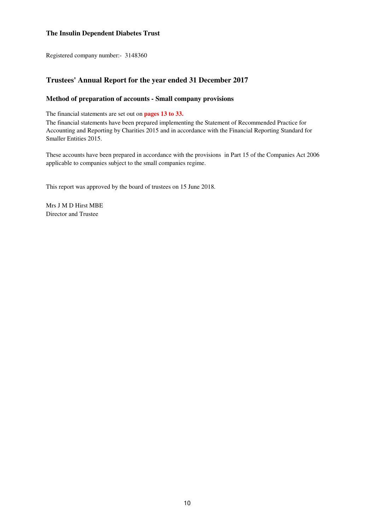Registered company number:- 3148360

### **Trustees' Annual Report for the year ended 31 December 2017**

### **Method of preparation of accounts - Small company provisions**

The financial statements are set out on **pages 13 to 33.** 

The financial statements have been prepared implementing the Statement of Recommended Practice for Accounting and Reporting by Charities 2015 and in accordance with the Financial Reporting Standard for Smaller Entities 2015.

These accounts have been prepared in accordance with the provisions in Part 15 of the Companies Act 2006 applicable to companies subject to the small companies regime.

This report was approved by the board of trustees on 15 June 2018.

Mrs J M D Hirst MBE Director and Trustee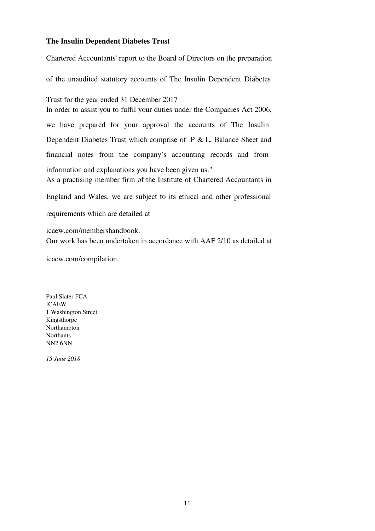As a practising member firm of the Institute of Chartered Accountants in England and Wales, we are subject to its ethical and other professional requirements which are detailed at icaew.com/membershandbook. Chartered Accountants' report to the Board of Directors on the preparation of the unaudited statutory accounts of The Insulin Dependent Diabetes Trust for the year ended 31 December 2017 In order to assist you to fulfil your duties under the Companies Act 2006, we have prepared for your approval the accounts of The Insulin Dependent Diabetes Trust which comprise of P & L, Balance Sheet and financial notes from the company's accounting records and from information and explanations you have been given us." Our work has been undertaken in accordance with AAF 2/10 as detailed at

icaew.com/compilation.

Paul Slater FCA ICAEW 1 Washington Street Kingsthorpe Northampton **Northants** NN2 6NN

*15 June 2018*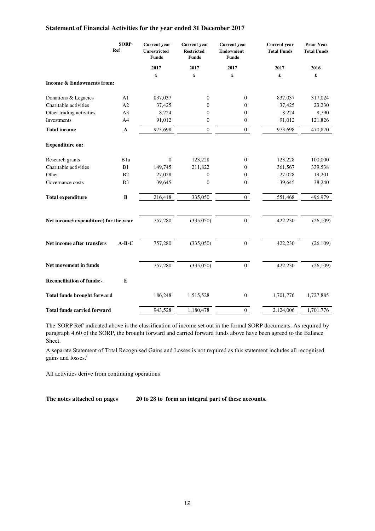### **Statement of Financial Activities for the year ended 31 December 2017**

|                                       | <b>SORP</b><br>Ref | Current year<br><b>Unrestricted</b><br><b>Funds</b> | <b>Current</b> year<br><b>Restricted</b><br><b>Funds</b> | <b>Current</b> year<br><b>Endowment</b><br><b>Funds</b> | <b>Current</b> year<br><b>Total Funds</b> | <b>Prior Year</b><br><b>Total Funds</b> |
|---------------------------------------|--------------------|-----------------------------------------------------|----------------------------------------------------------|---------------------------------------------------------|-------------------------------------------|-----------------------------------------|
|                                       |                    | 2017                                                | 2017                                                     | 2017                                                    | 2017                                      | 2016                                    |
|                                       |                    | £                                                   | £                                                        | £                                                       | £                                         | £                                       |
| <b>Income &amp; Endowments from:</b>  |                    |                                                     |                                                          |                                                         |                                           |                                         |
| Donations & Legacies                  | A <sub>1</sub>     | 837,037                                             | $\boldsymbol{0}$                                         | $\boldsymbol{0}$                                        | 837,037                                   | 317,024                                 |
| Charitable activities                 | A2                 | 37,425                                              | 0                                                        | $\boldsymbol{0}$                                        | 37,425                                    | 23,230                                  |
| Other trading activities              | A <sub>3</sub>     | 8,224                                               | $\boldsymbol{0}$                                         | $\boldsymbol{0}$                                        | 8,224                                     | 8,790                                   |
| Investments                           | A <sub>4</sub>     | 91,012                                              | $\boldsymbol{0}$                                         | $\boldsymbol{0}$                                        | 91,012                                    | 121,826                                 |
| <b>Total income</b>                   | $\mathbf{A}$       | 973,698                                             | $\boldsymbol{0}$                                         | $\overline{0}$                                          | 973,698                                   | 470,870                                 |
| <b>Expenditure on:</b>                |                    |                                                     |                                                          |                                                         |                                           |                                         |
| Research grants                       | B <sub>1a</sub>    | $\mathbf{0}$                                        | 123,228                                                  | $\boldsymbol{0}$                                        | 123,228                                   | 100,000                                 |
| Charitable activities                 | B1                 | 149,745                                             | 211,822                                                  | $\boldsymbol{0}$                                        | 361,567                                   | 339,538                                 |
| Other                                 | B2                 | 27,028                                              | $\boldsymbol{0}$                                         | $\boldsymbol{0}$                                        | 27,028                                    | 19,201                                  |
| Governance costs                      | B <sub>3</sub>     | 39,645                                              | $\boldsymbol{0}$                                         | $\boldsymbol{0}$                                        | 39,645                                    | 38,240                                  |
| <b>Total expenditure</b>              | B                  | 216,418                                             | 335,050                                                  | $\overline{0}$                                          | 551,468                                   | 496,979                                 |
| Net income/(expenditure) for the year |                    | 757,280                                             | (335,050)                                                | $\boldsymbol{0}$                                        | 422,230                                   | (26, 109)                               |
| Net income after transfers            | $A-B-C$            | 757,280                                             | (335,050)                                                | $\overline{0}$                                          | 422,230                                   | (26, 109)                               |
| Net movement in funds                 |                    | 757,280                                             | (335,050)                                                | $\mathbf{0}$                                            | 422,230                                   | (26, 109)                               |
| <b>Reconciliation of funds:-</b>      | E                  |                                                     |                                                          |                                                         |                                           |                                         |
| <b>Total funds brought forward</b>    |                    | 186,248                                             | 1,515,528                                                | $\boldsymbol{0}$                                        | 1,701,776                                 | 1,727,885                               |
| <b>Total funds carried forward</b>    |                    | 943,528                                             | 1,180,478                                                | $\mathbf{0}$                                            | 2,124,006                                 | 1,701,776                               |

The 'SORP Ref' indicated above is the classification of income set out in the formal SORP documents. As required by paragraph 4.60 of the SORP, the brought forward and carried forward funds above have been agreed to the Balance Sheet.

A separate Statement of Total Recognised Gains and Losses is not required as this statement includes all recognised gains and losses.'

All activities derive from continuing operations

**The notes attached on pages 20 to 28 to form an integral part of these accounts.**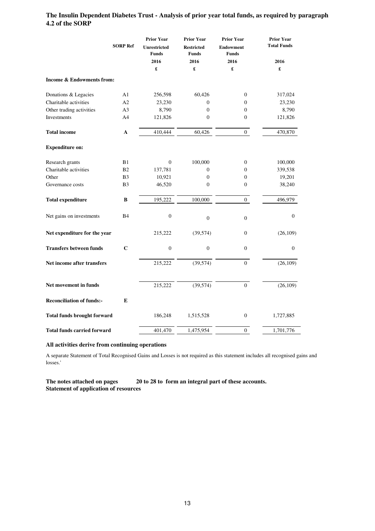### **The Insulin Dependent Diabetes Trust - Analysis of prior year total funds, as required by paragraph 4.2 of the SORP**

|                                      |                 | <b>Prior Year</b>                   | <b>Prior Year</b>                 | <b>Prior Year</b>                | <b>Prior Year</b>  |
|--------------------------------------|-----------------|-------------------------------------|-----------------------------------|----------------------------------|--------------------|
|                                      | <b>SORP Ref</b> | <b>Unrestricted</b><br><b>Funds</b> | <b>Restricted</b><br><b>Funds</b> | <b>Endowment</b><br><b>Funds</b> | <b>Total Funds</b> |
|                                      |                 | 2016                                | 2016                              | 2016                             | 2016               |
|                                      |                 | £                                   | £                                 | £                                | £                  |
| <b>Income &amp; Endowments from:</b> |                 |                                     |                                   |                                  |                    |
| Donations & Legacies                 | A1              | 256,598                             | 60,426                            | $\boldsymbol{0}$                 | 317,024            |
| Charitable activities                | A2              | 23,230                              | $\theta$                          | $\overline{0}$                   | 23,230             |
| Other trading activities             | A <sub>3</sub>  | 8,790                               | $\Omega$                          | $\overline{0}$                   | 8,790              |
| Investments                          | A4              | 121,826                             | $\boldsymbol{0}$                  | $\boldsymbol{0}$                 | 121,826            |
| <b>Total income</b>                  | A               | 410,444                             | 60,426                            | $\mathbf{0}$                     | 470,870            |
| <b>Expenditure on:</b>               |                 |                                     |                                   |                                  |                    |
| Research grants                      | B1              | $\mathbf{0}$                        | 100,000                           | $\mathbf{0}$                     | 100,000            |
| Charitable activities                | <b>B2</b>       | 137,781                             | $\mathbf{0}$                      | $\overline{0}$                   | 339,538            |
| Other                                | B3              | 10,921                              | $\boldsymbol{0}$                  | 0                                | 19,201             |
| Governance costs                     | B <sub>3</sub>  | 46,520                              | $\theta$                          | $\boldsymbol{0}$                 | 38,240             |
| <b>Total expenditure</b>             | B               | 195,222                             | 100,000                           | $\overline{0}$                   | 496,979            |
| Net gains on investments             | <b>B4</b>       | $\boldsymbol{0}$                    | $\boldsymbol{0}$                  | $\boldsymbol{0}$                 | $\overline{0}$     |
| Net expenditure for the year         |                 | 215,222                             | (39, 574)                         | $\boldsymbol{0}$                 | (26, 109)          |
| <b>Transfers between funds</b>       | $\mathbf C$     | $\boldsymbol{0}$                    | $\boldsymbol{0}$                  | $\boldsymbol{0}$                 | $\mathbf{0}$       |
| Net income after transfers           |                 | 215,222                             | (39, 574)                         | $\overline{0}$                   | (26, 109)          |
| Net movement in funds                |                 | 215,222                             | (39, 574)                         | $\overline{0}$                   | (26, 109)          |
| <b>Reconciliation of funds:-</b>     | E               |                                     |                                   |                                  |                    |
| <b>Total funds brought forward</b>   |                 | 186,248                             | 1,515,528                         | $\boldsymbol{0}$                 | 1,727,885          |
| <b>Total funds carried forward</b>   |                 | 401,470                             | 1,475,954                         | $\boldsymbol{0}$                 | 1,701,776          |

#### **All activities derive from continuing operations**

A separate Statement of Total Recognised Gains and Losses is not required as this statement includes all recognised gains and losses.'

**The notes attached on pages 20 to 28 to form an integral part of these accounts. Statement of application of resources**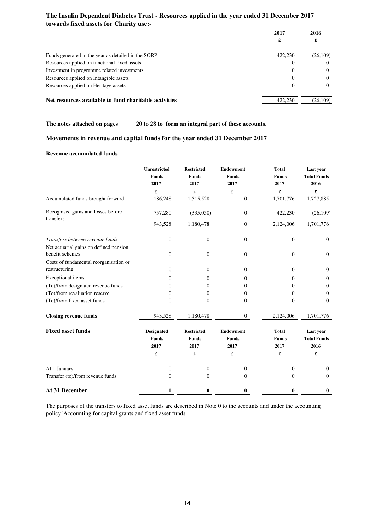| towards fixed assets for Charity use:-                |              |           |
|-------------------------------------------------------|--------------|-----------|
|                                                       | 2017         | 2016      |
|                                                       | £            | £         |
| Funds generated in the year as detailed in the SORP   | 422,230      | (26, 109) |
| Resources applied on functional fixed assets          | 0            | $\Omega$  |
| Investment in programme related investments           | 0            | $\Omega$  |
| Resources applied on Intangible assets                | $\Omega$     | $\Omega$  |
| Resources applied on Heritage assets                  | $\mathbf{0}$ | $\Omega$  |
| Net resources available to fund charitable activities | 422.230      | (26, 109) |

# **The Insulin Dependent Diabetes Trust - Resources applied in the year ended 31 December 2017**

**The notes attached on pages 20 to 28 to form an integral part of these accounts.**

### **Movements in revenue and capital funds for the year ended 31 December 2017**

#### **Revenue accumulated funds**

|                                        | <b>Unrestricted</b>  | <b>Restricted</b>    | <b>Endowment</b>     | <b>Total</b>         | Last year                  |
|----------------------------------------|----------------------|----------------------|----------------------|----------------------|----------------------------|
|                                        | <b>Funds</b><br>2017 | <b>Funds</b><br>2017 | <b>Funds</b><br>2017 | <b>Funds</b><br>2017 | <b>Total Funds</b><br>2016 |
|                                        | £                    | £                    | £                    | £                    | £                          |
| Accumulated funds brought forward      | 186,248              | 1,515,528            | $\boldsymbol{0}$     | 1,701,776            | 1,727,885                  |
| Recognised gains and losses before     | 757,280              | (335,050)            | $\overline{0}$       | 422,230              | (26, 109)                  |
| transfers                              | 943,528              | 1,180,478            | $\theta$             | 2,124,006            | 1,701,776                  |
| Transfers between revenue funds        | $\mathbf{0}$         | $\boldsymbol{0}$     | $\boldsymbol{0}$     | $\boldsymbol{0}$     | $\mathbf{0}$               |
| Net actuarial gains on defined pension |                      |                      |                      |                      |                            |
| benefit schemes                        | $\overline{0}$       | $\theta$             | $\overline{0}$       | $\mathbf{0}$         | $\overline{0}$             |
| Costs of fundamental reorganisation or |                      |                      |                      |                      |                            |
| restructuring                          | $\overline{0}$       | $\boldsymbol{0}$     | $\overline{0}$       | $\mathbf{0}$         | $\mathbf{0}$               |
| <b>Exceptional</b> items               | $\Omega$             | $\mathbf{0}$         | $\overline{0}$       | $\Omega$             | $\boldsymbol{0}$           |
| (To)/from designated revenue funds     | $\Omega$             | 0                    | 0                    | $\Omega$             | $\mathbf{0}$               |
| (To)/from revaluation reserve          | $\Omega$             | $\mathbf{0}$         | $\overline{0}$       | $\Omega$             | $\mathbf{0}$               |
| (To)/from fixed asset funds            | $\overline{0}$       | $\theta$             | $\theta$             | $\overline{0}$       | $\Omega$                   |
| <b>Closing revenue funds</b>           | 943,528              | 1,180,478            | $\overline{0}$       | 2,124,006            | 1,701,776                  |
| <b>Fixed asset funds</b>               | <b>Designated</b>    | <b>Restricted</b>    | <b>Endowment</b>     | <b>Total</b>         | Last year                  |
|                                        | <b>Funds</b>         | <b>Funds</b>         | <b>Funds</b>         | <b>Funds</b>         | <b>Total Funds</b>         |
|                                        | 2017                 | 2017                 | 2017                 | 2017                 | 2016                       |
|                                        | £                    | £                    | £                    | £                    | £                          |
| At 1 January                           | $\boldsymbol{0}$     | $\boldsymbol{0}$     | $\boldsymbol{0}$     | $\boldsymbol{0}$     | $\mathbf{0}$               |
| Transfer (to)/from revenue funds       | $\boldsymbol{0}$     | $\boldsymbol{0}$     | $\boldsymbol{0}$     | $\overline{0}$       | $\mathbf{0}$               |
| At 31 December                         | $\pmb{0}$            | $\bf{0}$             | $\bf{0}$             | $\bf{0}$             | $\bf{0}$                   |

The purposes of the transfers to fixed asset funds are described in Note 0 to the accounts and under the accounting policy 'Accounting for capital grants and fixed asset funds'.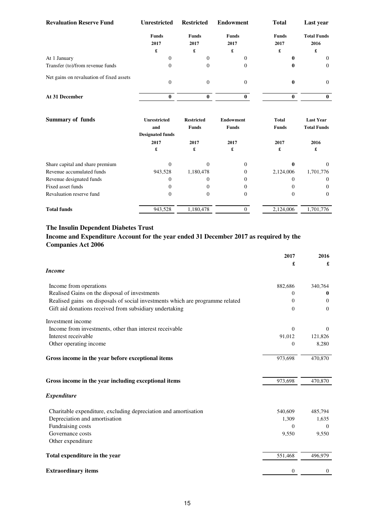| <b>Revaluation Reserve Fund</b>          | <b>Unrestricted</b>             | <b>Restricted</b>                 | <b>Endowment</b>                 | <b>Total</b>                 | Last year                              |
|------------------------------------------|---------------------------------|-----------------------------------|----------------------------------|------------------------------|----------------------------------------|
|                                          | <b>Funds</b><br>2017            | <b>Funds</b><br>2017              | <b>Funds</b><br>2017             | <b>Funds</b><br>2017         | <b>Total Funds</b><br>2016             |
|                                          | £                               | £                                 | £                                | £                            | £                                      |
| At 1 January                             | $\Omega$                        | $\overline{0}$                    | $\theta$                         | 0                            | $\theta$                               |
| Transfer (to)/from revenue funds         | $\Omega$                        | $\overline{0}$                    | $\theta$                         | 0                            | $\mathbf{0}$                           |
| Net gains on revaluation of fixed assets | $\theta$                        | $\mathbf{0}$                      | $\theta$                         | $\bf{0}$                     | $\theta$                               |
| At 31 December                           | $\bf{0}$                        | $\bf{0}$                          | $\bf{0}$                         | $\bf{0}$                     | $\bf{0}$                               |
| <b>Summary of funds</b>                  | <b>Unrestricted</b><br>and      | <b>Restricted</b><br><b>Funds</b> | <b>Endowment</b><br><b>Funds</b> | <b>Total</b><br><b>Funds</b> | <b>Last Year</b><br><b>Total Funds</b> |
|                                          | <b>Designated funds</b><br>2017 | 2017                              | 2017                             | 2017                         | 2016                                   |
|                                          | £                               | £                                 | £                                | £                            | £                                      |
| Share capital and share premium          | $\Omega$                        | $\theta$                          | $\theta$                         | 0                            | $\Omega$                               |
| Revenue accumulated funds                | 943,528                         | 1,180,478                         | $\theta$                         | 2,124,006                    | 1,701,776                              |
| Revenue designated funds                 | $\mathbf{0}$                    | $\boldsymbol{0}$                  | $\mathbf{0}$                     | $\mathbf{0}$                 | $\mathbf{0}$                           |
| Fixed asset funds                        | $\theta$                        | $\boldsymbol{0}$                  | $\mathbf{0}$                     | $\theta$                     | $\Omega$                               |
| Revaluation reserve fund                 | $\mathbf{0}$                    | $\boldsymbol{0}$                  | $\boldsymbol{0}$                 | $\Omega$                     | $\Omega$                               |
| <b>Total funds</b>                       | 943,528                         | 1,180,478                         | $\overline{0}$                   | 2,124,006                    | 1,701,776                              |

### **Income and Expenditure Account for the year ended 31 December 2017 as required by the Companies Act 2006**

|                                                                               | 2017           | 2016         |
|-------------------------------------------------------------------------------|----------------|--------------|
|                                                                               | £              | £            |
| <b>Income</b>                                                                 |                |              |
| Income from operations                                                        | 882,686        | 340,764      |
| Realised Gains on the disposal of investments                                 | 0              | $_{0}$       |
| Realised gains on disposals of social investments which are programme related | $\overline{0}$ | $\theta$     |
| Gift aid donations received from subsidiary undertaking                       | $\mathbf{0}$   | $\theta$     |
| Investment income                                                             |                |              |
| Income from investments, other than interest receivable                       | $\Omega$       | $\Omega$     |
| Interest receivable                                                           | 91,012         | 121,826      |
| Other operating income                                                        | $\overline{0}$ | 8,280        |
| Gross income in the year before exceptional items                             | 973,698        | 470,870      |
| Gross income in the year including exceptional items                          | 973,698        | 470,870      |
| <b>Expenditure</b>                                                            |                |              |
| Charitable expenditure, excluding depreciation and amortisation               | 540,609        | 485,794      |
| Depreciation and amortisation                                                 | 1,309          | 1,635        |
| Fundraising costs                                                             | $\Omega$       | $\theta$     |
| Governance costs                                                              | 9,550          | 9,550        |
| Other expenditure                                                             |                |              |
| Total expenditure in the year                                                 | 551,468        | 496,979      |
| <b>Extraordinary items</b>                                                    | 0              | $\mathbf{0}$ |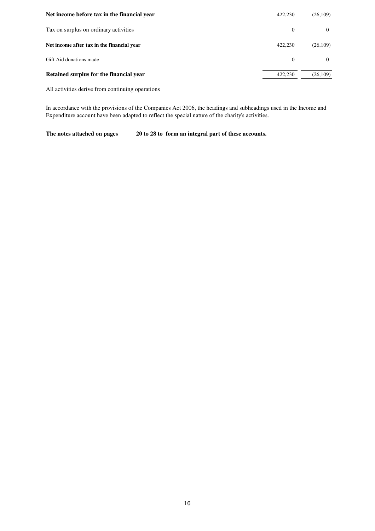| Net income before tax in the financial year | 422,230      | (26, 109) |
|---------------------------------------------|--------------|-----------|
| Tax on surplus on ordinary activities       | $\mathbf{0}$ | $\Omega$  |
| Net income after tax in the financial year  | 422,230      | (26, 109) |
| Gift Aid donations made                     | $\Omega$     | $\Omega$  |
| Retained surplus for the financial year     | 422,230      | (26, 109) |

All activities derive from continuing operations

In accordance with the provisions of the Companies Act 2006, the headings and subheadings used in the Income and Expenditure account have been adapted to reflect the special nature of the charity's activities.

**The notes attached on pages 20 to 28 to form an integral part of these accounts.**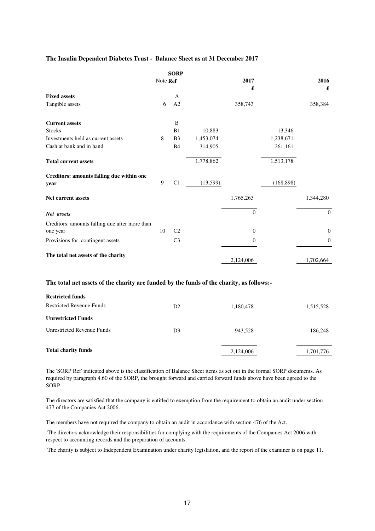### **The Insulin Dependent Diabetes Trust - Balance Sheet as at 31 December 2017**

|                                                                                          |          | <b>SORP</b>    |           |                  |            |                  |
|------------------------------------------------------------------------------------------|----------|----------------|-----------|------------------|------------|------------------|
|                                                                                          | Note Ref |                |           | 2017<br>£        |            | 2016<br>£        |
| <b>Fixed assets</b>                                                                      |          | А              |           |                  |            |                  |
| Tangible assets                                                                          | 6        | A2             |           | 358,743          |            | 358,384          |
| <b>Current assets</b>                                                                    |          | B              |           |                  |            |                  |
| <b>Stocks</b>                                                                            |          | B1             | 10,883    |                  | 13,346     |                  |
| Investments held as current assets                                                       | $\,8\,$  | B <sub>3</sub> | 1,453,074 |                  | 1,238,671  |                  |
| Cash at bank and in hand                                                                 |          | <b>B4</b>      | 314,905   |                  | 261,161    |                  |
| <b>Total current assets</b>                                                              |          |                | 1,778,862 |                  | 1,513,178  |                  |
| Creditors: amounts falling due within one                                                |          |                |           |                  |            |                  |
| year                                                                                     | 9        | C1             | (13,599)  |                  | (168, 898) |                  |
| Net current assets                                                                       |          |                |           | 1,765,263        |            | 1,344,280        |
| Net assets                                                                               |          |                |           | $\Omega$         |            | $\mathbf{0}$     |
| Creditors: amounts falling due after more than<br>one year                               | 10       | C <sub>2</sub> |           | $\overline{0}$   |            | $\boldsymbol{0}$ |
| Provisions for contingent assets                                                         |          | C <sub>3</sub> |           | $\boldsymbol{0}$ |            | $\boldsymbol{0}$ |
| The total net assets of the charity                                                      |          |                |           | 2,124,006        |            | 1,702,664        |
| The total net assets of the charity are funded by the funds of the charity, as follows:- |          |                |           |                  |            |                  |
| <b>Restricted funds</b>                                                                  |          |                |           |                  |            |                  |
| <b>Restricted Revenue Funds</b>                                                          |          | D2             |           | 1,180,478        |            | 1,515,528        |
| <b>Unrestricted Funds</b>                                                                |          |                |           |                  |            |                  |
| <b>Unrestricted Revenue Funds</b>                                                        |          | D <sub>3</sub> |           | 943,528          |            | 186,248          |
| <b>Total charity funds</b>                                                               |          |                |           | 2,124,006        |            | 1,701,776        |

The 'SORP Ref' indicated above is the classification of Balance Sheet items as set out in the formal SORP documents. As required by paragraph 4.60 of the SORP, the brought forward and carried forward funds above have been agreed to the SORP.

The directors are satisfied that the company is entitled to exemption from the requirement to obtain an audit under section 477 of the Companies Act 2006.

The members have not required the company to obtain an audit in accordance with section 476 of the Act.

 The directors acknowledge their responsibilities for complying with the requirements of the Companies Act 2006 with respect to accounting records and the preparation of accounts.

The charity is subject to Independent Examination under charity legislation, and the report of the examiner is on page 11.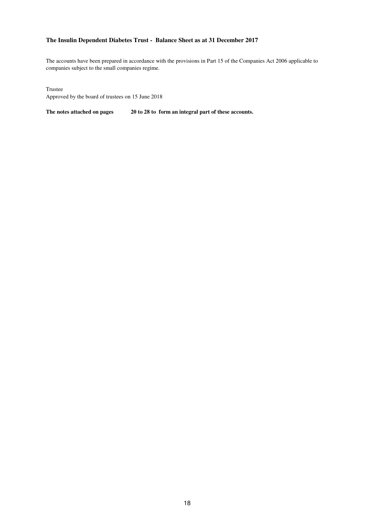### **The Insulin Dependent Diabetes Trust - Balance Sheet as at 31 December 2017**

The accounts have been prepared in accordance with the provisions in Part 15 of the Companies Act 2006 applicable to companies subject to the small companies regime.

Trustee

Approved by the board of trustees on 15 June 2018

**The notes attached on pages 20 to 28 to form an integral part of these accounts.**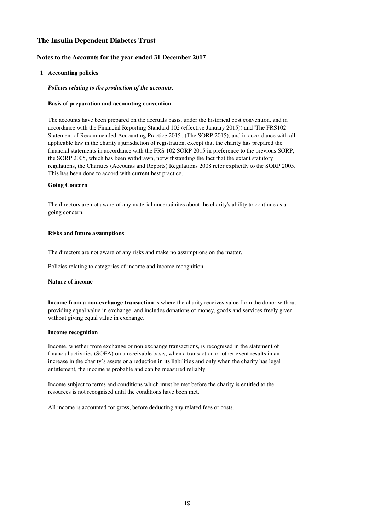#### **Notes to the Accounts for the year ended 31 December 2017**

#### **1 Accounting policies**

#### *Policies relating to the production of the accounts.*

#### **Basis of preparation and accounting convention**

The accounts have been prepared on the accruals basis, under the historical cost convention, and in accordance with the Financial Reporting Standard 102 (effective January 2015)) and 'The FRS102 Statement of Recommended Accounting Practice 2015', (The SORP 2015), and in accordance with all applicable law in the charity's jurisdiction of registration, except that the charity has prepared the financial statements in accordance with the FRS 102 SORP 2015 in preference to the previous SORP, the SORP 2005, which has been withdrawn, notwithstanding the fact that the extant statutory regulations, the Charities (Accounts and Reports) Regulations 2008 refer explicitly to the SORP 2005. This has been done to accord with current best practice.

#### **Going Concern**

The directors are not aware of any material uncertainites about the charity's ability to continue as a going concern.

#### **Risks and future assumptions**

The directors are not aware of any risks and make no assumptions on the matter.

Policies relating to categories of income and income recognition.

#### **Nature of income**

**Income from a non-exchange transaction** is where the charity receives value from the donor without providing equal value in exchange, and includes donations of money, goods and services freely given without giving equal value in exchange.

#### **Income recognition**

Income, whether from exchange or non exchange transactions, is recognised in the statement of financial activities (SOFA) on a receivable basis, when a transaction or other event results in an increase in the charity's assets or a reduction in its liabilities and only when the charity has legal entitlement, the income is probable and can be measured reliably.

Income subject to terms and conditions which must be met before the charity is entitled to the resources is not recognised until the conditions have been met.

All income is accounted for gross, before deducting any related fees or costs.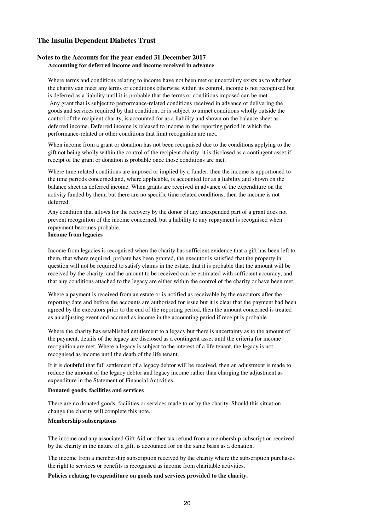#### **Notes to the Accounts for the year ended 31 December 2017 Accounting for deferred income and income received in advance**

Where terms and conditions relating to income have not been met or uncertainty exists as to whether the charity can meet any terms or conditions otherwise within its control, income is not recognised but is deferred as a liability until it is probable that the terms or conditions imposed can be met.

 Any grant that is subject to performance-related conditions received in advance of delivering the goods and services required by that condition, or is subject to unmet conditions wholly outside the control of the recipient charity, is accounted for as a liability and shown on the balance sheet as deferred income. Deferred income is released to income in the reporting period in which the performance-related or other conditions that limit recognition are met.

When income from a grant or donation has not been recognised due to the conditions applying to the gift not being wholly within the control of the recipient charity, it is disclosed as a contingent asset if receipt of the grant or donation is probable once those conditions are met.

Where time related conditions are imposed or implied by a funder, then the income is apportioned to the time periods concerned,and, where applicable, is accounted for as a liability and shown on the balance sheet as deferred income. When grants are received in advance of the expenditure on the activity funded by them, but there are no specific time related conditions, then the income is not deferred.

Any condition that allows for the recovery by the donor of any unexpended part of a grant does not prevent recognition of the income concerned, but a liability to any repayment is recognised when repayment becomes probable.

#### **Income from legacies**

Income from legacies is recognised when the charity has sufficient evidence that a gift has been left to them, that where required, probate has been granted, the executor is satisfied that the property in question will not be required to satisfy claims in the estate, that it is probable that the amount will be received by the charity, and the amount to be received can be estimated with sufficient accuracy, and that any conditions attached to the legacy are either within the control of the charity or have been met.

Where a payment is received from an estate or is notified as receivable by the executors after the reporting date and before the accounts are authorised for issue but it is clear that the payment had been agreed by the executors prior to the end of the reporting period, then the amount concerned is treated as an adjusting event and accrued as income in the accounting period if receipt is probable.

Where the charity has established entitlement to a legacy but there is uncertainty as to the amount of the payment, details of the legacy are disclosed as a contingent asset until the criteria for income recognition are met. Where a legacy is subject to the interest of a life tenant, the legacy is not recognised as income until the death of the life tenant.

If it is doubtful that full settlement of a legacy debtor will be received, then an adjustment is made to reduce the amount of the legacy debtor and legacy income rather than charging the adjustment as expenditure in the Statement of Financial Activities.

#### **Donated goods, facilities and services**

There are no donated goods, facilities or services made to or by the charity. Should this situation change the charity will complete this note.

#### **Membership subscriptions**

The income and any associated Gift Aid or other tax refund from a membership subscription received by the charity in the nature of a gift, is accounted for on the same basis as a donation.

The income from a membership subscription received by the charity where the subscription purchases the right to services or benefits is recognised as income from charitable activities.

#### **Policies relating to expenditure on goods and services provided to the charity.**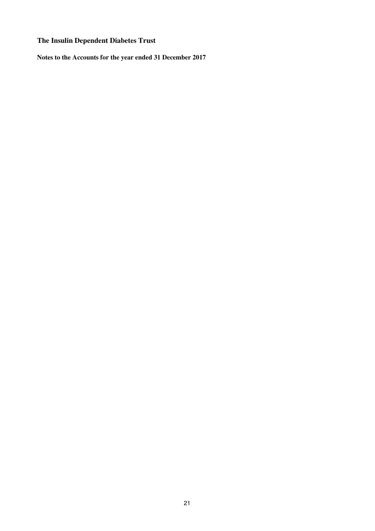**Notes to the Accounts for the year ended 31 December 2017**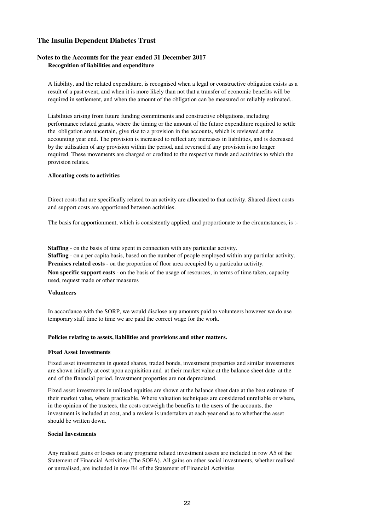#### **Notes to the Accounts for the year ended 31 December 2017 Recognition of liabilities and expenditure**

A liability, and the related expenditure, is recognised when a legal or constructive obligation exists as a result of a past event, and when it is more likely than not that a transfer of economic benefits will be required in settlement, and when the amount of the obligation can be measured or reliably estimated..

Liabilities arising from future funding commitments and constructive obligations, including performance related grants, where the timing or the amount of the future expenditure required to settle the obligation are uncertain, give rise to a provision in the accounts, which is reviewed at the accounting year end. The provision is increased to reflect any increases in liabilities, and is decreased by the utilisation of any provision within the period, and reversed if any provision is no longer required. These movements are charged or credited to the respective funds and activities to which the provision relates.

#### **Allocating costs to activities**

Direct costs that are specifically related to an activity are allocated to that activity. Shared direct costs and support costs are apportioned between activities.

The basis for apportionment, which is consistently applied, and proportionate to the circumstances, is :-

**Premises related costs** - on the proportion of floor area occupied by a particular activity. **Staffing** - on a per capita basis, based on the number of people employed within any partiular activity. **Staffing** - on the basis of time spent in connection with any particular activity.

**Non specific support costs** - on the basis of the usage of resources, in terms of time taken, capacity used, request made or other measures

#### **Volunteers**

In accordance with the SORP, we would disclose any amounts paid to volunteers however we do use temporary staff time to time we are paid the correct wage for the work.

#### **Policies relating to assets, liabilities and provisions and other matters.**

#### **Fixed Asset Investments**

Fixed asset investments in quoted shares, traded bonds, investment properties and similar investments are shown initially at cost upon acquisition and at their market value at the balance sheet date at the end of the financial period. Investment properties are not depreciated.

Fixed asset investments in unlisted equities are shown at the balance sheet date at the best estimate of their market value, where practicable. Where valuation techniques are considered unreliable or where, in the opinion of the trustees, the costs outweigh the benefits to the users of the accounts, the investment is included at cost, and a review is undertaken at each year end as to whether the asset should be written down.

#### **Social Investments**

Any realised gains or losses on any programe related investment assets are included in row A5 of the Statement of Financial Activities (The SOFA). All gains on other social investments, whether realised or unrealised, are included in row B4 of the Statement of Financial Activities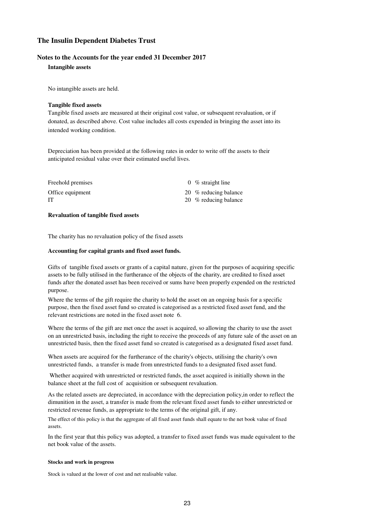#### **Notes to the Accounts for the year ended 31 December 2017**

#### **Intangible assets**

No intangible assets are held.

#### **Tangible fixed assets**

Tangible fixed assets are measured at their original cost value, or subsequent revaluation, or if donated, as described above. Cost value includes all costs expended in bringing the asset into its intended working condition.

Depreciation has been provided at the following rates in order to write off the assets to their anticipated residual value over their estimated useful lives.

| Freehold premises | 0 % straight line     |
|-------------------|-----------------------|
| Office equipment  | 20 % reducing balance |
| IT                | 20 % reducing balance |

#### **Revaluation of tangible fixed assets**

The charity has no revaluation policy of the fixed assets

#### **Accounting for capital grants and fixed asset funds.**

Gifts of tangible fixed assets or grants of a capital nature, given for the purposes of acquiring specific assets to be fully utilised in the furtherance of the objects of the charity, are credited to fixed asset funds after the donated asset has been received or sums have been properly expended on the restricted purpose.

Where the terms of the gift require the charity to hold the asset on an ongoing basis for a specific purpose, then the fixed asset fund so created is categorised as a restricted fixed asset fund, and the relevant restrictions are noted in the fixed asset note 6.

Where the terms of the gift are met once the asset is acquired, so allowing the charity to use the asset on an unrestricted basis, including the right to receive the proceeds of any future sale of the asset on an unrestricted basis, then the fixed asset fund so created is categorised as a designated fixed asset fund.

When assets are acquired for the furtherance of the charity's objects, utilising the charity's own unrestricted funds, a transfer is made from unrestricted funds to a designated fixed asset fund.

 Whether acquired with unrestricted or restricted funds, the asset acquired is initially shown in the balance sheet at the full cost of acquisition or subsequent revaluation.

As the related assets are depreciated, in accordance with the depreciation policy,in order to reflect the dimunition in the asset, a transfer is made from the relevant fixed asset funds to either unrestricted or restricted revenue funds, as appropriate to the terms of the original gift, if any.

The effect of this policy is that the aggregate of all fixed asset funds shall equate to the net book value of fixed assets.

In the first year that this policy was adopted, a transfer to fixed asset funds was made equivalent to the net book value of the assets.

#### **Stocks and work in progress**

Stock is valued at the lower of cost and net realisable value.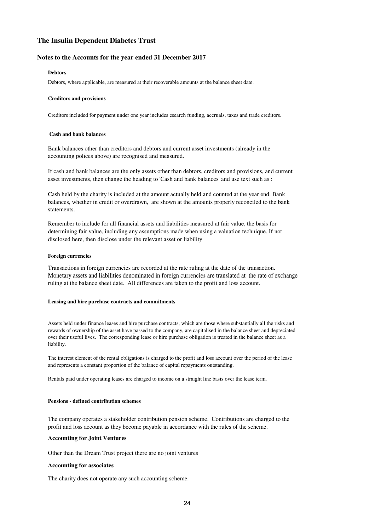#### **Notes to the Accounts for the year ended 31 December 2017**

#### **Debtors**

Debtors, where applicable, are measured at their recoverable amounts at the balance sheet date.

#### **Creditors and provisions**

Creditors included for payment under one year includes esearch funding, accruals, taxes and trade creditors.

#### **Cash and bank balances**

Bank balances other than creditors and debtors and current asset investments (already in the accounting polices above) are recognised and measured.

If cash and bank balances are the only assets other than debtors, creditors and provisions, and current asset investments, then change the heading to 'Cash and bank balances' and use text such as :

Cash held by the charity is included at the amount actually held and counted at the year end. Bank balances, whether in credit or overdrawn, are shown at the amounts properly reconciled to the bank statements.

Remember to include for all financial assets and liabilities measured at fair value, the basis for determining fair value, including any assumptions made when using a valuation technique. If not disclosed here, then disclose under the relevant asset or liability

#### **Foreign currencies**

Transactions in foreign currencies are recorded at the rate ruling at the date of the transaction. Monetary assets and liabilities denominated in foreign currencies are translated at the rate of exchange ruling at the balance sheet date. All differences are taken to the profit and loss account.

#### **Leasing and hire purchase contracts and commitments**

Assets held under finance leases and hire purchase contracts, which are those where substantially all the risks and rewards of ownership of the asset have passed to the company, are capitalised in the balance sheet and depreciated over their useful lives. The corresponding lease or hire purchase obligation is treated in the balance sheet as a liability.

The interest element of the rental obligations is charged to the profit and loss account over the period of the lease and represents a constant proportion of the balance of capital repayments outstanding.

Rentals paid under operating leases are charged to income on a straight line basis over the lease term.

#### **Pensions - defined contribution schemes**

The company operates a stakeholder contribution pension scheme. Contributions are charged to the profit and loss account as they become payable in accordance with the rules of the scheme.

#### **Accounting for Joint Ventures**

Other than the Dream Trust project there are no joint ventures

#### **Accounting for associates**

The charity does not operate any such accounting scheme.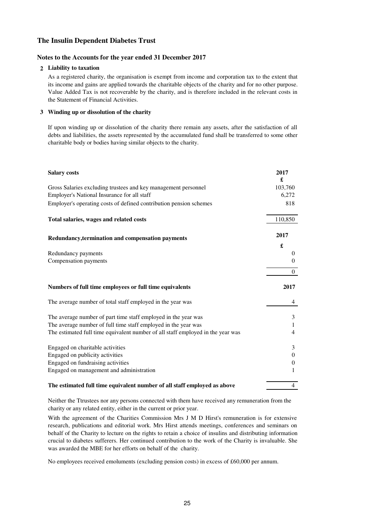#### **Notes to the Accounts for the year ended 31 December 2017**

#### **2 Liability to taxation**

As a registered charity, the organisation is exempt from income and corporation tax to the extent that its income and gains are applied towards the charitable objects of the charity and for no other purpose. Value Added Tax is not recoverable by the charity, and is therefore included in the relevant costs in the Statement of Financial Activities.

#### **3 Winding up or dissolution of the charity**

If upon winding up or dissolution of the charity there remain any assets, after the satisfaction of all debts and liabilities, the assets represented by the accumulated fund shall be transferred to some other charitable body or bodies having similar objects to the charity.

| <b>Salary costs</b>                                                             | 2017<br>£      |
|---------------------------------------------------------------------------------|----------------|
| Gross Salaries excluding trustees and key management personnel                  | 103,760        |
| Employer's National Insurance for all staff                                     | 6,272          |
| Employer's operating costs of defined contribution pension schemes              | 818            |
| Total salaries, wages and related costs                                         | 110,850        |
| Redundancy, termination and compensation payments                               | 2017           |
|                                                                                 | £              |
| Redundancy payments                                                             | $\theta$       |
| Compensation payments                                                           | $\mathbf{0}$   |
|                                                                                 |                |
|                                                                                 | $\mathbf{0}$   |
| Numbers of full time employees or full time equivalents                         | 2017           |
| The average number of total staff employed in the year was                      | 4              |
| The average number of part time staff employed in the year was                  | 3              |
| The average number of full time staff employed in the year was                  | 1              |
| The estimated full time equivalent number of all staff employed in the year was | $\overline{4}$ |
| Engaged on charitable activities                                                | 3              |
| Engaged on publicity activities                                                 | $\mathbf{0}$   |
| Engaged on fundraising activities                                               | $\theta$       |
| Engaged on management and administration                                        | 1              |
| The estimated full time equivalent number of all staff employed as above        | 4              |

Neither the Ttrustees nor any persons connected with them have received any remuneration from the charity or any related entity, either in the current or prior year.

With the agreement of the Charities Commission Mrs J M D Hirst's remuneration is for extensive research, publications and editorial work. Mrs Hirst attends meetings, conferences and seminars on behalf of the Charity to lecture on the rights to retain a choice of insulins and distributing information crucial to diabetes sufferers. Her continued contribution to the work of the Charity is invaluable. She was awarded the MBE for her efforts on behalf of the charity.

No employees received emoluments (excluding pension costs) in excess of £60,000 per annum.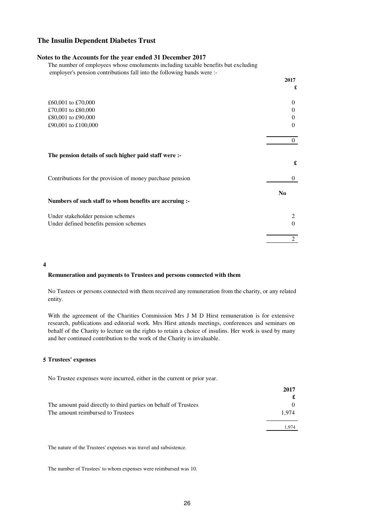#### **Notes to the Accounts for the year ended 31 December 2017**

The number of employees whose emoluments including taxable benefits but excluding employer's pension contributions fall into the following bands were :-

|                                                           | 2017           |
|-----------------------------------------------------------|----------------|
|                                                           | £              |
| £60,001 to £70,000                                        | $\Omega$       |
| £70,001 to £80,000                                        | $\theta$       |
| £80,001 to £90,000                                        | $\Omega$       |
| £90,001 to £100,000                                       | $\Omega$       |
|                                                           | $\theta$       |
| The pension details of such higher paid staff were :-     | £              |
| Contributions for the provision of money purchase pension | $\theta$       |
|                                                           | N <sub>0</sub> |
| Numbers of such staff to whom benefits are accruing :-    |                |
| Under stakeholder pension schemes                         |                |
| Under defined benefits pension schemes                    | $\Omega$       |
|                                                           | $\overline{c}$ |

**4**

#### **Remuneration and payments to Trustees and persons connected with them**

No Tustees or persons connected with them received any remuneration from the charity, or any related entity.

With the agreement of the Charities Commission Mrs J M D Hirst remuneration is for extensive research, publications and editorial work. Mrs Hirst attends meetings, conferences and seminars on behalf of the Charity to lecture on the rights to retain a choice of insulins. Her work is used by many and her continued contribution to the work of the Charity is invaluable.

#### **5 Trustees' expenses**

No Trustee expenses were incurred, either in the current or prior year.

|                                                                 | 2017  |
|-----------------------------------------------------------------|-------|
|                                                                 |       |
| The amount paid directly to third parties on behalf of Trustees |       |
| The amount reimbursed to Trustees                               | 1.974 |
|                                                                 | 1.974 |
|                                                                 |       |

The nature of the Trustees' expenses was travel and subsistence.

The number of Trustees' to whom expenses were reimbursed was 10.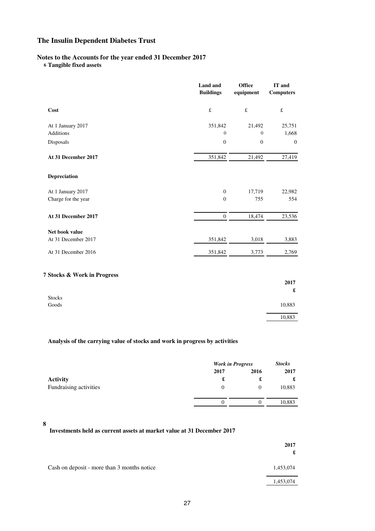### **Notes to the Accounts for the year ended 31 December 2017**

**6 Tangible fixed assets**

|                             | <b>Land</b> and<br><b>Buildings</b> | <b>Office</b><br>equipment | IT and<br><b>Computers</b>   |
|-----------------------------|-------------------------------------|----------------------------|------------------------------|
| Cost                        | $\pounds$                           | $\pounds$                  | $\pounds$                    |
| At 1 January 2017           | 351,842                             | 21,492                     | 25,751                       |
| <b>Additions</b>            | $\boldsymbol{0}$                    | $\mathbf{0}$               | 1,668                        |
| Disposals                   | $\boldsymbol{0}$                    | $\boldsymbol{0}$           | $\mathbf{0}$                 |
| At 31 December 2017         | 351,842                             | 21,492                     | 27,419                       |
| Depreciation                |                                     |                            |                              |
| At 1 January 2017           | $\boldsymbol{0}$                    | 17,719                     | 22,982                       |
| Charge for the year         | $\overline{0}$                      | 755                        | 554                          |
| At 31 December 2017         | $\boldsymbol{0}$                    | 18,474                     | 23,536                       |
| Net book value              |                                     |                            |                              |
| At 31 December 2017         | 351,842                             | 3,018                      | 3,883                        |
| At 31 December 2016         | 351,842                             | 3,773                      | 2,769                        |
| 7 Stocks & Work in Progress |                                     |                            |                              |
|                             |                                     |                            | 2017<br>$\pmb{\mathfrak{L}}$ |
| <b>Stocks</b>               |                                     |                            |                              |
| Goods                       |                                     |                            | 10,883                       |
|                             |                                     |                            | 10,883                       |

### **Analysis of the carrying value of stocks and work in progress by activities**

|                        | <b>Work in Progress</b> |          | <b>Stocks</b> |  |
|------------------------|-------------------------|----------|---------------|--|
|                        | 2017                    | 2016     | 2017          |  |
| <b>Activity</b>        | £                       | £        | £             |  |
| Fundraising activities | 0                       | $\Omega$ | 10,883        |  |
|                        | 0                       |          | 10,883        |  |

### **8**

# **Investments held as current assets at market value at 31 December 2017**

|                                             | 2017<br>£ |
|---------------------------------------------|-----------|
| Cash on deposit - more than 3 months notice | 1,453,074 |
|                                             | 1,453,074 |
|                                             |           |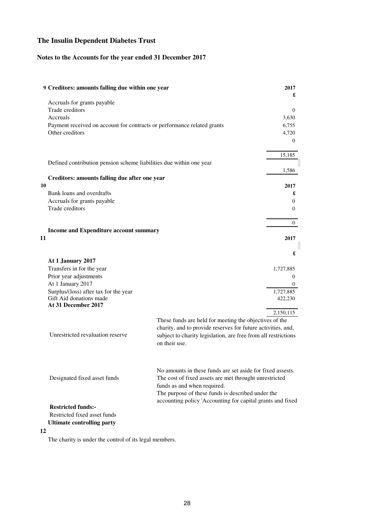## **Notes to the Accounts for the year ended 31 December 2017**

| 9 Creditors: amounts falling due within one year                        |                                                                                                                                                     | 2017<br>£      |
|-------------------------------------------------------------------------|-----------------------------------------------------------------------------------------------------------------------------------------------------|----------------|
| Accruals for grants payable<br>Trade creditors                          |                                                                                                                                                     | $\Omega$       |
| Accruals                                                                |                                                                                                                                                     | 3.630          |
| Payment received on account for contracts or performance related grants |                                                                                                                                                     | 6,755          |
| Other creditors                                                         |                                                                                                                                                     | 4,720          |
|                                                                         |                                                                                                                                                     | $\theta$       |
|                                                                         |                                                                                                                                                     | 15,185         |
| Defined contribution pension scheme liabilities due within one year     |                                                                                                                                                     |                |
| Creditors: amounts falling due after one year                           |                                                                                                                                                     | 1,586          |
| 10                                                                      |                                                                                                                                                     | 2017           |
| Bank loans and overdrafts                                               |                                                                                                                                                     | £              |
| Accruals for grants payable                                             |                                                                                                                                                     | $\overline{0}$ |
| Trade creditors                                                         |                                                                                                                                                     | $\overline{0}$ |
|                                                                         |                                                                                                                                                     | $\theta$       |
| Income and Expenditure account summary                                  |                                                                                                                                                     |                |
| 11                                                                      |                                                                                                                                                     | 2017           |
|                                                                         |                                                                                                                                                     | £              |
| At 1 January 2017                                                       |                                                                                                                                                     |                |
| Transfers in for the year                                               |                                                                                                                                                     | 1,727,885      |
| Prior year adjustments                                                  |                                                                                                                                                     | $\theta$       |
| At 1 January 2017<br>Surplus/(loss) after tax for the year              |                                                                                                                                                     | 0<br>1,727,885 |
| Gift Aid donations made<br>At 31 December 2017                          |                                                                                                                                                     | 422,230        |
|                                                                         |                                                                                                                                                     | 2,150,115      |
|                                                                         | These funds are held for meeting the objectives of the                                                                                              |                |
|                                                                         | charity, and to provide reserves for future activities, and,                                                                                        |                |
| Unrestricted revaluation reserve                                        | subject to charity legislation, are free from all restrictions<br>on their use.                                                                     |                |
| Designated fixed asset funds                                            | No amounts in these funds are set aside for fixed assests.<br>The cost of fixed assets are met throught unrestricted<br>funds as and when required. |                |
| <b>Restricted funds:-</b>                                               | The purpose of these funds is described under the<br>accounting policy 'Accounting for capital grants and fixed                                     |                |
| Restricted fixed asset funds                                            |                                                                                                                                                     |                |
| <b>Ultimate controlling party</b>                                       |                                                                                                                                                     |                |
| 12                                                                      |                                                                                                                                                     |                |

The charity is under the control of its legal members.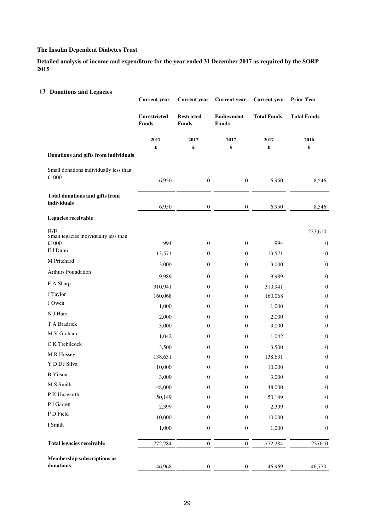**Detailed analysis of income and expenditure for the year ended 31 December 2017 as required by the SORP 2015**

| <b>13 Donations and Legacies</b>              | <b>Current</b> year                 | <b>Current</b> year               | <b>Current</b> year              | <b>Current</b> year  | <b>Prior Year</b>  |
|-----------------------------------------------|-------------------------------------|-----------------------------------|----------------------------------|----------------------|--------------------|
|                                               | <b>Unrestricted</b><br><b>Funds</b> | <b>Restricted</b><br><b>Funds</b> | <b>Endowment</b><br><b>Funds</b> | <b>Total Funds</b>   | <b>Total Funds</b> |
|                                               | 2017                                | 2017                              | 2017                             | 2017                 | 2016               |
| Donations and gifts from individuals          | £                                   | £                                 | £                                | $\pmb{\mathfrak{L}}$ | £                  |
| Small donations individually less than        |                                     |                                   |                                  |                      |                    |
| $\pounds1000$                                 | 6,950                               | $\boldsymbol{0}$                  | $\boldsymbol{0}$                 | 6,950                | 8,546              |
| Total donations and gifts from<br>individuals |                                     |                                   |                                  |                      |                    |
|                                               | 6,950                               | $\boldsymbol{0}$                  | $\boldsymbol{0}$                 | 6,950                | 8,546              |
| Legacies receivable                           |                                     |                                   |                                  |                      |                    |
| B/F<br>Small legacies individually less than  |                                     |                                   |                                  |                      | 237,610            |
| £1000                                         | 994                                 | $\mathbf{0}$                      | $\boldsymbol{0}$                 | 994                  | $\boldsymbol{0}$   |
| E I Dunn                                      | 13,571                              | $\mathbf{0}$                      | $\mathbf{0}$                     | 13,571               | $\boldsymbol{0}$   |
| M Pritchard                                   | 3,000                               | $\mathbf{0}$                      | $\mathbf{0}$                     | 3,000                | $\boldsymbol{0}$   |
| Arthurs Foundation                            | 9,989                               | $\mathbf{0}$                      | $\boldsymbol{0}$                 | 9,989                | $\boldsymbol{0}$   |
| E A Sharp                                     | 310,941                             | $\boldsymbol{0}$                  | $\boldsymbol{0}$                 | 310,941              | $\boldsymbol{0}$   |
| J Taylor                                      | 160,068                             | $\theta$                          | $\mathbf{0}$                     | 160,068              | $\boldsymbol{0}$   |
| J Owen                                        | 1,000                               | $\theta$                          | $\mathbf{0}$                     | 1,000                | $\boldsymbol{0}$   |
| N J Hare                                      | 2,000                               | $\mathbf{0}$                      | $\boldsymbol{0}$                 | 2,000                | $\boldsymbol{0}$   |
| T A Bradrick                                  | 3,000                               | 0                                 | $\mathbf{0}$                     | 3,000                | $\boldsymbol{0}$   |
| M V Graham                                    | 1,042                               | $\theta$                          | 0                                | 1,042                | $\mathbf{0}$       |
| C K Trebilcock                                | 3,500                               | $\boldsymbol{0}$                  | $\boldsymbol{0}$                 | 3,500                | $\boldsymbol{0}$   |
| M R Hussey                                    | 138,631                             | $\mathbf{0}$                      | $\mathbf{0}$                     | 138,631              | $\boldsymbol{0}$   |
| Y D De Silva                                  | 10,000                              | $\boldsymbol{0}$                  | $\mathbf{0}$                     | 10,000               | $\boldsymbol{0}$   |
| <b>B</b> Yilson                               | 3,000                               | $\boldsymbol{0}$                  | $\boldsymbol{0}$                 | 3,000                | $\boldsymbol{0}$   |
| M S Smith                                     | 48,000                              | $\mathbf{0}$                      | $\boldsymbol{0}$                 | 48,000               | $\boldsymbol{0}$   |
| P K Unsworth                                  | 50,149                              | $\mathbf{0}$                      | $\boldsymbol{0}$                 | 50,149               | $\boldsymbol{0}$   |
| P I Garrett                                   | 2,399                               | $\mathbf{0}$                      | $\boldsymbol{0}$                 | 2,399                | $\boldsymbol{0}$   |
| P D Field                                     | 10,000                              | $\mathbf{0}$                      | $\boldsymbol{0}$                 | 10,000               | $\boldsymbol{0}$   |
| I Smith                                       | 1,000                               | $\boldsymbol{0}$                  | $\boldsymbol{0}$                 | 1,000                | $\boldsymbol{0}$   |
| <b>Total legacies receivable</b>              | 772,284                             | $\boldsymbol{0}$                  | $\boldsymbol{0}$                 | 772,284              | 237610             |
| Membership subscriptions as<br>donations      | 46,968                              | $\boldsymbol{0}$                  | $\boldsymbol{0}$                 | 46,969               | 46,770             |
|                                               |                                     |                                   |                                  |                      |                    |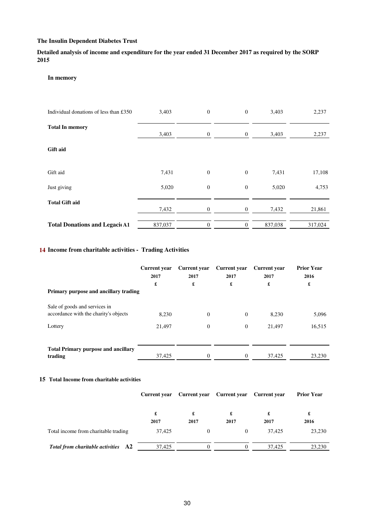**Detailed analysis of income and expenditure for the year ended 31 December 2017 as required by the SORP 2015**

#### **In memory**

| Individual donations of less than £350 | 3,403   | $\boldsymbol{0}$ | $\overline{0}$ | 3,403   | 2,237   |
|----------------------------------------|---------|------------------|----------------|---------|---------|
| <b>Total In memory</b>                 | 3,403   | $\boldsymbol{0}$ | $\mathbf{0}$   | 3,403   | 2,237   |
| <b>Gift aid</b>                        |         |                  |                |         |         |
| Gift aid                               | 7,431   | $\boldsymbol{0}$ | $\theta$       | 7,431   | 17,108  |
| Just giving                            | 5,020   | $\mathbf{0}$     | $\mathbf{0}$   | 5,020   | 4,753   |
| <b>Total Gift aid</b>                  | 7,432   | $\mathbf{0}$     | $\mathbf{0}$   | 7,432   | 21,861  |
| <b>Total Donations and LegacicA1</b>   | 837,037 | $\boldsymbol{0}$ | $\theta$       | 837,038 | 317,024 |

### **14 Income from charitable activities - Trading Activities**

|                                                                        | Current year<br>2017<br>£ | <b>Current</b> year<br>2017<br>£ | <b>Current</b> year<br>2017<br>£ | Current year<br>2017<br>£ | <b>Prior Year</b><br>2016<br>£ |
|------------------------------------------------------------------------|---------------------------|----------------------------------|----------------------------------|---------------------------|--------------------------------|
| Primary purpose and ancillary trading                                  |                           |                                  |                                  |                           |                                |
| Sale of goods and services in<br>accordance with the charity's objects | 8.230                     | $\theta$                         | $\overline{0}$                   | 8,230                     | 5,096                          |
| Lottery                                                                | 21.497                    | $\Omega$                         | $\Omega$                         | 21,497                    | 16,515                         |
|                                                                        |                           |                                  |                                  |                           |                                |
| <b>Total Primary purpose and ancillary</b><br>trading                  | 37,425                    | $\Omega$                         |                                  | 37,425                    | 23,230                         |

#### **15 Total Income from charitable activities**

|                                      |           | Current year Current year Current year Current year |           |           | <b>Prior Year</b> |
|--------------------------------------|-----------|-----------------------------------------------------|-----------|-----------|-------------------|
|                                      | £<br>2017 | 2017                                                | £<br>2017 | £<br>2017 | £<br>2016         |
| Total income from charitable trading | 37.425    | $\theta$                                            | $\Omega$  | 37.425    | 23,230            |
| Total from charitable activities A2  | 37.425    |                                                     | $\theta$  | 37.425    | 23.230            |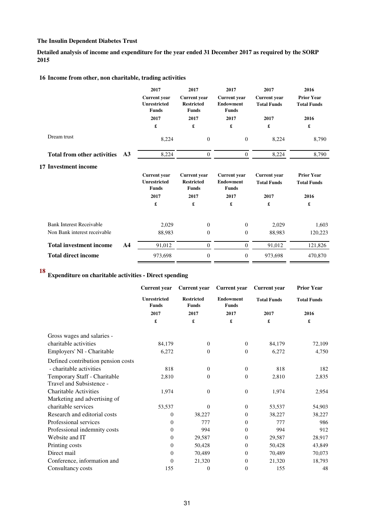**Detailed analysis of income and expenditure for the year ended 31 December 2017 as required by the SORP 2015**

### **16 Income from other, non charitable, trading activities**

|                                                  | 2017                                                       | 2017                                                     | 2017                                                    | 2017                                      | 2016                                    |
|--------------------------------------------------|------------------------------------------------------------|----------------------------------------------------------|---------------------------------------------------------|-------------------------------------------|-----------------------------------------|
|                                                  | <b>Current</b> year<br><b>Unrestricted</b><br><b>Funds</b> | <b>Current vear</b><br><b>Restricted</b><br><b>Funds</b> | <b>Current</b> year<br><b>Endowment</b><br><b>Funds</b> | <b>Current</b> year<br><b>Total Funds</b> | <b>Prior Year</b><br><b>Total Funds</b> |
|                                                  | 2017                                                       | 2017                                                     | 2017                                                    | 2017                                      | 2016                                    |
|                                                  | £                                                          | £                                                        | £                                                       | £                                         | £                                       |
| Dream trust                                      | 8,224                                                      | $\overline{0}$                                           | $\overline{0}$                                          | 8,224                                     | 8,790                                   |
| <b>Total from other activities</b><br>A3         | 8,224                                                      | $\overline{0}$                                           | $\overline{0}$                                          | 8,224                                     | 8,790                                   |
| 17 Investment income                             |                                                            |                                                          |                                                         |                                           |                                         |
|                                                  | <b>Current</b> year<br><b>Unrestricted</b><br><b>Funds</b> | <b>Current</b> year<br><b>Restricted</b><br><b>Funds</b> | <b>Current</b> year<br><b>Endowment</b><br><b>Funds</b> | <b>Current</b> year<br><b>Total Funds</b> | <b>Prior Year</b><br><b>Total Funds</b> |
|                                                  | 2017                                                       | 2017                                                     | 2017                                                    | 2017                                      | 2016                                    |
|                                                  | £                                                          | £                                                        | £                                                       | £                                         | £                                       |
| <b>Bank Interest Receivable</b>                  | 2,029                                                      | $\theta$                                                 | $\overline{0}$                                          | 2,029                                     | 1,603                                   |
| Non Bank interest receivable                     | 88,983                                                     | $\theta$                                                 | $\overline{0}$                                          | 88,983                                    | 120,223                                 |
| <b>Total investment income</b><br>A <sub>4</sub> | 91,012                                                     | $\theta$                                                 | $\overline{0}$                                          | 91,012                                    | 121,826                                 |
| <b>Total direct income</b>                       | 973,698                                                    | $\overline{0}$                                           | $\overline{0}$                                          | 973,698                                   | 470,870                                 |

# **<sup>18</sup> Expenditure on charitable activities - Direct spending**

|                                    | <b>Current</b> year                 | <b>Current</b> year               | <b>Current year</b>              | <b>Current</b> year | <b>Prior Year</b>  |  |
|------------------------------------|-------------------------------------|-----------------------------------|----------------------------------|---------------------|--------------------|--|
|                                    | <b>Unrestricted</b><br><b>Funds</b> | <b>Restricted</b><br><b>Funds</b> | <b>Endowment</b><br><b>Funds</b> | <b>Total Funds</b>  | <b>Total Funds</b> |  |
|                                    | 2017                                | 2017                              | 2017                             | 2017                | 2016               |  |
|                                    | £                                   | £                                 | £                                | £                   | £                  |  |
| Gross wages and salaries -         |                                     |                                   |                                  |                     |                    |  |
| charitable activities              | 84,179                              | $\overline{0}$                    | $\overline{0}$                   | 84,179              | 72,109             |  |
| Employers' NI - Charitable         | 6,272                               | $\Omega$                          | $\Omega$                         | 6,272               | 4,750              |  |
| Defined contribution pension costs |                                     |                                   |                                  |                     |                    |  |
| - charitable activities            | 818                                 | $\mathbf{0}$                      | $\overline{0}$                   | 818                 | 182                |  |
| Temporary Staff - Charitable       | 2,810                               | 0                                 | $\Omega$                         | 2,810               | 2,835              |  |
| Travel and Subsistence -           |                                     |                                   |                                  |                     |                    |  |
| <b>Charitable Activities</b>       | 1,974                               | $\Omega$                          | $\overline{0}$                   | 1,974               | 2,954              |  |
| Marketing and advertising of       |                                     |                                   |                                  |                     |                    |  |
| charitable services                | 53,537                              | $\Omega$                          | $\overline{0}$                   | 53,537              | 54,903             |  |
| Research and editorial costs       | $\overline{0}$                      | 38,227                            | $\overline{0}$                   | 38,227              | 38,227             |  |
| Professional services              | $\theta$                            | 777                               | $\Omega$                         | 777                 | 986                |  |
| Professional indemnity costs       | $\theta$                            | 994                               | $\Omega$                         | 994                 | 912                |  |
| Website and IT                     | $\theta$                            | 29,587                            | $\Omega$                         | 29,587              | 28,917             |  |
| Printing costs                     | $\theta$                            | 50,428                            | $\overline{0}$                   | 50,428              | 43,849             |  |
| Direct mail                        | $\theta$                            | 70,489                            | $\overline{0}$                   | 70,489              | 70,073             |  |
| Conference, information and        | $\overline{0}$                      | 21,320                            | $\Omega$                         | 21,320              | 18,793             |  |
| Consultancy costs                  | 155                                 | 0                                 | $\overline{0}$                   | 155                 | 48                 |  |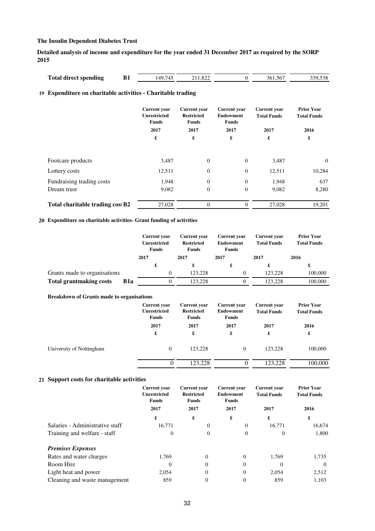**Detailed analysis of income and expenditure for the year ended 31 December 2017 as required by the SORP 2015**

| <b>Total direct spending</b> |  | $140^\circ$ | ∡ت∠دی. |  | .sh | $\sim$ 0.0<br>າາດ<br>, , ,<br>הכנגי |
|------------------------------|--|-------------|--------|--|-----|-------------------------------------|
|------------------------------|--|-------------|--------|--|-----|-------------------------------------|

### **19 Expenditure on charitable activities - Charitable trading**

|                                  | <b>Current</b> year<br><b>Unrestricted</b><br><b>Funds</b> | <b>Current</b> year<br><b>Restricted</b><br><b>Funds</b> | <b>Current</b> year<br><b>Endowment</b><br><b>Funds</b> | <b>Current</b> year<br><b>Total Funds</b> | <b>Prior Year</b><br><b>Total Funds</b> |
|----------------------------------|------------------------------------------------------------|----------------------------------------------------------|---------------------------------------------------------|-------------------------------------------|-----------------------------------------|
|                                  | 2017                                                       | 2017                                                     | 2017                                                    | 2017                                      | 2016                                    |
|                                  | £                                                          | £                                                        | £                                                       | £                                         | £                                       |
| Footcare products                | 3,487                                                      | $\theta$                                                 | $\theta$                                                | 3,487                                     | $\overline{0}$                          |
| Lottery costs                    | 12,511                                                     | $\overline{0}$                                           | $\overline{0}$                                          | 12,511                                    | 10,284                                  |
| Fundraising trading costs        | 1,948                                                      | $\overline{0}$                                           | $\theta$                                                | 1,948                                     | 637                                     |
| Dream trust                      | 9,082                                                      | $\overline{0}$                                           | $\overline{0}$                                          | 9,082                                     | 8,280                                   |
| Total charitable trading cost B2 | 27,028                                                     | $\Omega$                                                 | $\Omega$                                                | 27,028                                    | 19,201                                  |

### **20 Expenditure on charitable activities- Grant funding of activities**

|                                |             | <b>Current</b> year<br><b>Unrestricted</b><br><b>Funds</b> | <b>Current</b> year<br><b>Restricted</b><br><b>Funds</b> | <b>Current</b> year<br>Endowment<br>Funds | <b>Current</b> year<br><b>Total Funds</b> | <b>Prior Year</b><br><b>Total Funds</b> |
|--------------------------------|-------------|------------------------------------------------------------|----------------------------------------------------------|-------------------------------------------|-------------------------------------------|-----------------------------------------|
|                                |             | 2017                                                       | 2017                                                     | 2017                                      | 2017                                      | 2016                                    |
|                                |             | £                                                          | £                                                        | £                                         | £                                         | £                                       |
| Grants made to organisations   |             | $\theta$                                                   | 123.228                                                  | $^{(1)}$                                  | 123,228                                   | 100,000                                 |
| <b>Total grantmaking costs</b> | <b>B</b> 1a |                                                            | 123.228                                                  |                                           | 123.228                                   | 100,000                                 |

#### **Breakdown of Grants made to organisations**

|                          | <b>Current year</b><br><b>Unrestricted</b><br><b>Funds</b> | <b>Current year</b><br><b>Restricted</b><br>Funds | <b>Current</b> year<br><b>Endowment</b><br>Funds | <b>Current</b> year<br><b>Total Funds</b> | <b>Prior Year</b><br><b>Total Funds</b> |
|--------------------------|------------------------------------------------------------|---------------------------------------------------|--------------------------------------------------|-------------------------------------------|-----------------------------------------|
|                          | 2017                                                       | 2017                                              | 2017                                             | 2017                                      | 2016                                    |
|                          | £                                                          | £                                                 | £                                                | £                                         | £                                       |
| University of Nottingham | $\mathbf{0}$                                               | 123.228                                           | $\mathbf{0}$                                     | 123.228                                   | 100,000                                 |
|                          | $^{(1)}$                                                   | 123.228                                           | 0                                                | 123.228                                   | 100,000                                 |

#### **21 Support costs for charitable activities**

|                                 | <b>Current</b> year<br><b>Unrestricted</b><br><b>Funds</b> | <b>Current</b> year<br><b>Restricted</b><br><b>Funds</b> | <b>Current</b> year<br><b>Endowment</b><br><b>Funds</b> | <b>Current</b> year<br><b>Total Funds</b> | <b>Prior Year</b><br><b>Total Funds</b> |  |
|---------------------------------|------------------------------------------------------------|----------------------------------------------------------|---------------------------------------------------------|-------------------------------------------|-----------------------------------------|--|
|                                 | 2017                                                       | 2017                                                     | 2017                                                    | 2017                                      | 2016                                    |  |
|                                 | £                                                          | £                                                        | £                                                       | £                                         | £                                       |  |
| Salaries - Administrative staff | 16.771                                                     | 0                                                        | $\overline{0}$                                          | 16,771                                    | 16,674                                  |  |
| Training and welfare - staff    | $\Omega$                                                   | 0                                                        | $\mathbf{0}$                                            | $\Omega$                                  | 1,800                                   |  |
| <b>Premises Expenses</b>        |                                                            |                                                          |                                                         |                                           |                                         |  |
| Rates and water charges         | 1.769                                                      | $\Omega$                                                 | $\Omega$                                                | 1,769                                     | 1,735                                   |  |
| Room Hire                       | $\Omega$                                                   | $\Omega$                                                 | $\Omega$                                                | $\theta$                                  | $\Omega$                                |  |
| Light heat and power            | 2,054                                                      | $\mathbf{0}$                                             | $\Omega$                                                | 2,054                                     | 2,512                                   |  |
| Cleaning and waste management   | 859                                                        | 0                                                        | $\overline{0}$                                          | 859                                       | 1.103                                   |  |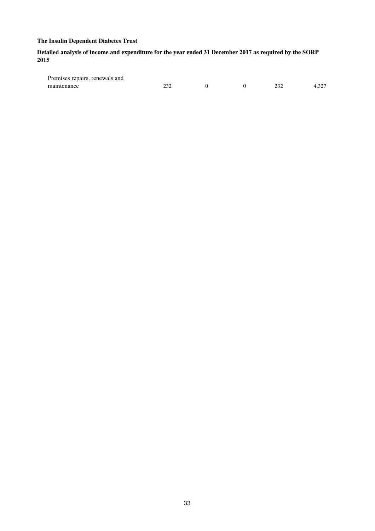### **Detailed analysis of income and expenditure for the year ended 31 December 2017 as required by the SORP 2015**

| Premises repairs, renewals and |  |     |       |
|--------------------------------|--|-----|-------|
| maintenance                    |  | ,,, | 4.32. |